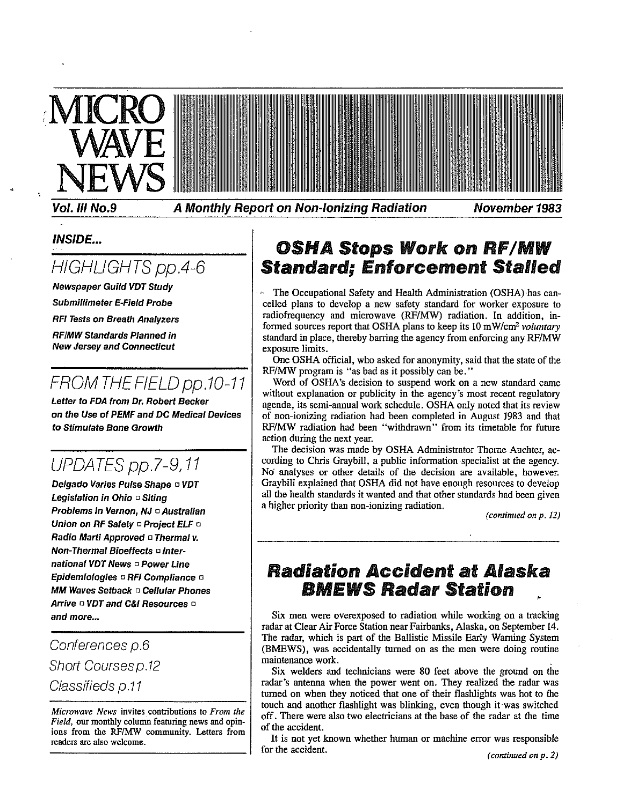

Vol. III No.9

A Monthly Report on Non-Ionizing Radiation

November 1983

### **INSIDE...**

## HIGHLIGHTS pp.4-6

**Newspaper Guild VDT Study** 

**Submillimeter E-Field Probe** 

**RFI Tests on Breath Analyzers** 

**RF/MW Standards Planned in New Jersey and Connecticut** 

## FROM THE FIELD pp.10-11

Letter to FDA from Dr. Robert Becker on the Use of PEMF and DC Medical Devices to Stimulate Bone Growth

## UPDATES pp.7-9,11

Delgado Varies Pulse Shape o VDT Legislation in Ohio o Siting Problems in Vernon. NJ □ Australian Union on RF Safety a Project ELF a Radio Marti Approved □ Thermal v. **Non-Thermal Bioeffects ¤ Inter**national VDT News D Power Line Epidemiologies ¤ RFI Compliance ¤ **MM Waves Setback D Cellular Phones** Arrive DVDT and C&I Resources D and more...

Conferences p.6 **Short Coursesp.12** Classifieds p.11

Microwave News invites contributions to From the Field, our monthly column featuring news and opinions from the RF/MW community. Letters from readers are also welcome.

### **OSHA Stops Work on RF/MW Standard: Enforcement Stalled**

The Occupational Safety and Health Administration (OSHA) has cancelled plans to develop a new safety standard for worker exposure to radiofrequency and microwave (RF/MW) radiation. In addition, informed sources report that OSHA plans to keep its 10 mW/cm<sup>2</sup> voluntary standard in place, thereby barring the agency from enforcing any RF/MW exposure limits.

One OSHA official, who asked for anonymity, said that the state of the RF/MW program is "as bad as it possibly can be."

Word of OSHA's decision to suspend work on a new standard came without explanation or publicity in the agency's most recent regulatory agenda, its semi-annual work schedule. OSHA only noted that its review of non-ionizing radiation had been completed in August 1983 and that RF/MW radiation had been "withdrawn" from its timetable for future action during the next year.

The decision was made by OSHA Administrator Thorne Auchter, according to Chris Graybill, a public information specialist at the agency. No analyses or other details of the decision are available, however. Graybill explained that OSHA did not have enough resources to develop all the health standards it wanted and that other standards had been given a higher priority than non-ionizing radiation.

(continued on p. 12)

### **Radiation Accident at Alaska BMEWS Radar Station**

Six men were overexposed to radiation while working on a tracking radar at Clear Air Force Station near Fairbanks, Alaska, on September 14. The radar, which is part of the Ballistic Missile Early Warning System (BMEWS), was accidentally turned on as the men were doing routine maintenance work.

Six welders and technicians were 80 feet above the ground on the radar's antenna when the power went on. They realized the radar was turned on when they noticed that one of their flashlights was hot to the touch and another flashlight was blinking, even though it was switched off. There were also two electricians at the base of the radar at the time of the accident.

It is not yet known whether human or machine error was responsible for the accident.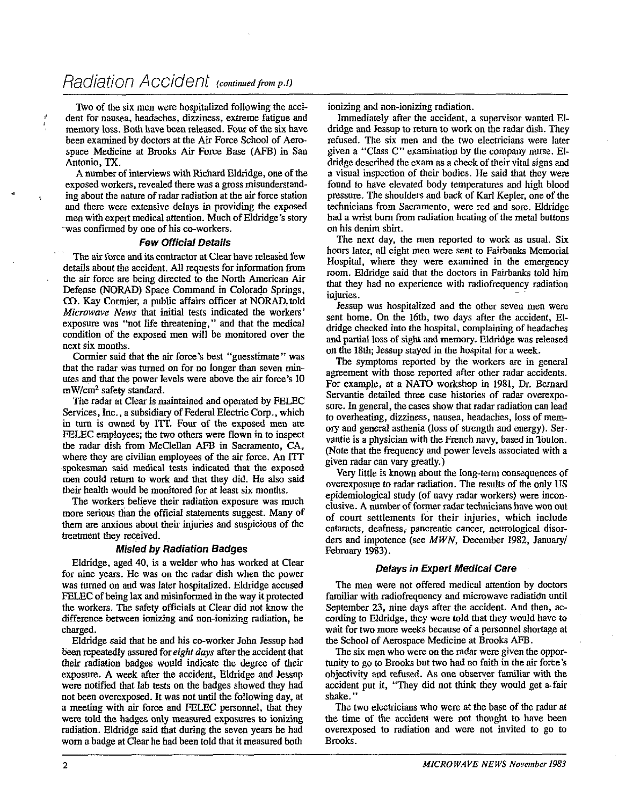Two of the six men were hospitalized following the accident for nausea, headaches, dizziness, extreme fatigue and memory loss. Both have been released. Four of the six have been examined by doctors at the Air Force School of Aerospace Medicine at Brooks **Air** Force Base (AFB) in San Antonio, TX.

A number of interviews with Richard Eldridge, one of the exposed workers, revealed there was a gross misunderstand- . ing about the nature of radar radiation at the air force station and there were extensive delays in providing the exposed men with expert medical attention. Much of Eldridge's story was confirmed by one of his co-workers.

#### **Few Official Details**

The air force and its contractor at Clear have released few details about the accident. All requests for information from the air force are being directed to the North American Air Defense **(NORAD)** Space Command in Colorado Springs, **CO.** Kay Cormier, a public affairs officer at NORAD,told *Microwave News* that initial tests indicated the workers' exposure was "not life threatening," and that the medical condition of the exposed men wiil be monitored over the next six months.

Cormier said that the air force's best "guesstimate" was that the radar was turned on for no longer than seven minutes and that the power levels were above the air force's 10 mW/cm<sup>2</sup> safety standard.

The radar at Clear is maintained and operated by FELEC Services, Inc., a subsidiary of Federal Electric Corp., which in turn is owned by ITT. Four of the exposed men are FELEC employees; the two others were flown in to inspect the radar dish from McClellan AFB in Sacramento, CA, where they **are** civilian employees of the air force. An ITT spokesman said medical tests indicated that the exposed men could return to work and that they did. He also said their health would be monitored for at least six months.

The workers believe their radiation exposure was much more serious than the official statements suggest. Many of them are anxious about their injuries and suspicious of the treatment they received.

#### **Misled by Radiation Badges**

Eldridge, aged 40, is a welder who has worked at Clear for nine years. He was on the radar dish when the power was turned on and was later hospitalized. Eldridge accused ELEC of beine lax and misinformed in the wav it orotected the workers. The safety officials at Clear did not know the difference between ionizing and non-ionizing radiation, he charged.

Eldridge said that he and his co-worker John Jessup had been repeatedly assured for *eight days* after the accident that their radiation badges would indicate the degree of their exposure. A week after the accident, Eldridge and Jessup were notified that lab tests on the badges showed they had not been overexposed. It was not until the following day, at a meeting with **air** force and FELEC personnel, that they were told the badges only measured exposures to ionizing radiation. Eldridge said that during the seven years he had worn a badge at Clear he had been told that it measured both

ionizing and non-ionizing radiation.

Immediately after the accident, a supervisor wanted Eldridge and Jessup to return to work on the radar dish. They refused. The six men and the two electricians were later given a "Class C" examination by the company nurse. EIdridge described the exam as a check of their vital signs and a visual inspection of their bodies. He said that they were found to have elevated body temperatures and high blood pressure. The shoulders and back of Karl Kepler, one of the technicians from Sacramento, were red and sore. Eldridge had a wrist burn from radiation heating of the metal buttons on his denim shirt.

The next day, the men reported to work as usual. Six hours later, all eight men were sent to Fairbanks Memorial Hospital, where they were examined in the emergency room. Eldridge said that the doctors in Fairbanks told him that they had no experience with radiofrequency radiation injuries.

Jessup was hospitalized and the other seven men were sent home. On the 16th. two days after the accident, Eldridge checked into the hospital, complaining of headaches and partial loss of sight and memory. Eldridge was released on the 18th; Jessup stayed in the hospital for a week.

The symptoms reported by the workers are in general agreement with those reported after other radar accidents. For example, at a NATO workshop in 1981, Dr. Bernard Servantie detailed three case histories of radar overexposure. In general, the cases show that radar radiation can lead to overheating, dizziness, nausea, headaches, loss of memory and general asthenia (loss of strength and energy). Servantie is a physician with the French navy, based in Touton. (Note that the frequency and power levels associated with a given radar can vary greatly.)

Very little is known about the long-term consequences of overexposure to radar radiation. The results of the only US epidemiological study (of navy radar workers) were inconclusive. A number of former radar technicians have won out of court settlements for their injuries, which include cataracts, deafness, pancreatic cancer, neurological disorders and impotence (see *MWN,* December 1982, January/ February 1983).

#### **Delays in Expert Medical Care**

The men were not offered medical attention by doctors familiar with radiofrequency and microwave radiatidn until September 23, nine days after the accident. And then, according to Eldridge, they were told that they would have to wait for two more weeks because of a personnel shortage at the School of Aerospace Medicine at Brooks AFB.

The six men who were on the radar were given the opportunity to go to Brooks but two had no faith in the air force's objectivity and refused. As one observer familiar with the accident put it, "They did not think they would get a.fair shake."

The two electricians who were at the base of the radar at the time of the accident were not thought to have been overexposed to radiation and were not invited to go to Brooks.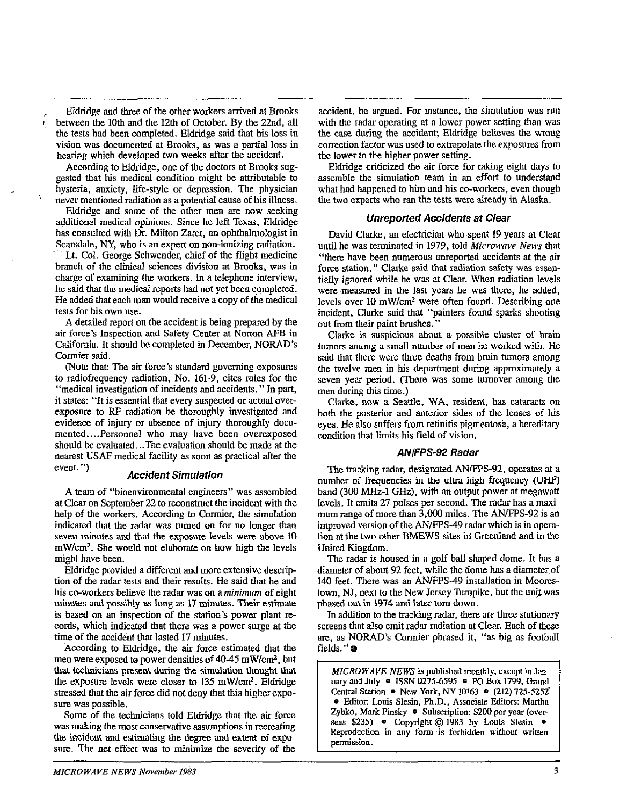- Eldridge and three of the other workers anived at Brooks between the 10th and the 12th of October. By the 22nd, all the tests had been completed. Eldridge said that his loss in vision was documented at Brooks, as was a partial loss in hearing which developed two weeks after the accident.

According to Eldridge, one of the doctors at Brooks suggested that his medical condition might be attributable to hysteria, anxiety, life-style or depression. The physician never mentioned radiation as a potential cause of his illness.

Eldridge and some of the other men are now seeking additional medical opinions. Since he left Texas, Eldridge has consulted with Dr. Milton Zaret, an ophthalmologist in Scarsdale, **NY,** who is an expert on non-ionizing radiation.

Lt. Col. George Schwender, chief of the flight medicine branch of the climical sciences division at Brooks, was in charge of examining the workers. In a telephone interview, he said that the medical reports had not yet been completed. He added that each man would receive a copy of the medical tests for his own use.

A detailed report on the accident is being prepared by the air force's Inspection and Safety Center at Norton AFB in California. It should be completed in December, NORAD's Cormier said.

(Note that: The air force's standard governing exposures to radiofrequency radiation, No. 161-9, cites mles for the "medical investigation of incidents and accidents." In part, it states: "It is essential that every suspected or actual overexposure to **RF** radiation be thoroughly investigated and evidence of injury or absence of injury thoroughly documented.. . .Personnel who may have been overexposed should be evaluated...The evaluation should be made at the nearest USAF medical facility as soon as practical after the event. ") **Accident Simulation** 

A team of "bioenvironmental engineers" was assembled at Clear on September 22 to reconstruct the incident with the help of the workers. Accordimg to Cormier, the simulation indicated that the radar was turned on for no longer than seven minutes and that the exposure levels were above 10 mW/cm2. She would not elaborate on how high the levels might have been.

Eldridge provided a different and more extensive description of the radar tests and their results. He said that he and his co-workers believe the radar was on a minimum of eight minutes and possibly as long as 17 minutes. Their estimate is based on an inspection of the station's power plant records, which indicated that there was a power surge at the time of the accident that lasted 17 minutes.

According to Eldridge, the air force estimated that the men were exposed to power densities of  $40-45$  mW/cm<sup>2</sup>, but that technicians present during the simulation thought that the exposure levels were closer to 135 mW/cm<sup>2</sup>. Eldridge stressed that the air force did not deny that this higher exposure was possible.

Some of the technicians told Eldridge that the air force was making the most conservative assumptions in recreating the incident and estimating the degree and extent of exposure. The net effect was to minimize the severity of the

accident, he argued. For instance, the simulation was run with the radar operating at a lower power setting than was the case during the accident; Eldridge believes the wrong correction factor was used to extrapolate the exposures from the lower to the higher power setting.

Eldridge criticized the air force for tnking eight days to assemble the simulation team in an effort to understand what had happened to him and his co-workers, even though the two experts who ran the tests were already in Alaska.

#### **Unreported Accidents at Clear**

David Clarke, an electrician who spent 19 years at Clear until he was terminated in 1979, told Microwave News that "there have been numerous unreported accidents at the air force station." Clarke said that radiation safety was essentially ignored while he was at Clear. When radiation levels were measured in the last years he was there, he added, levels over 10 mWlcm2 were often found. Describing one incident, Clarke said that "painters found sparks shooting out from their paint brushes."

Clarke is suspicious about a possible cluster of brain tumors among a small number of men he worked with. He said that there were three deaths from brain tumors among the twelve men in his department during approximately a seven year period. (There was some turnover among the men during this time.)

Clarke, now a Seattle, WA, resident, has cataracts on both the posterior and anterior sides of the lenses of his eyes. He also suffers from retinitis pigmentosa, a hereditary condition that limits his field of vision.

#### **ANIFPS-92 Radar**

The tracking radar, designated AN/FPS-92, operates at a number of frequencies in the ultra high frequency (UHF) band **(3W** MHz-1 GHz), with an output power at megawatt levels. It emits 27 pulses per second. The radar has a maximum range of more than 3,000 miles. The AN/FPS-92 is an improved version of the AN/FPS-49 radar which is in operation at the two other BMEWS sites in Greenland and in the United Kingdom.

The radar is housed in a golf ball shaped dome. It has a diameter of about 92 feet, while the dome has a diameter of 140 feet. There was an AN/FPS-49 installation in Moorestown, NJ, next to the New Jersey Turnpike, but the unit was phased out in 1974 and later tom down.

In addition to the tracking radar, there are three stationary screens that also emit radar radiation at Clear. Each of these are, as NORAD's Cormier phrased it, **"as** big as football fields."<sup>@</sup>

*MICROWAVE NEWS* is published monthly, except **in** Jan**uary** and July e ISSN 0275-6595 e PO Box 1799, Grand Central Station **e** New York, NY 10163 0 (212) 725-5252' Editor: Louis Slesin, **Ph.D.,** Associate Editors: Martha Zybko, Mark Pinsky • Subscription: \$200 per year (over-Central Station • New York, NY 10163 • (212) 725-5252<br>• Editor: Louis Slesin, Ph.D., Associate Editors: Martha<br>Zybko, Mark Pinsky • Subscription: \$200 per year (over-<br>seas \$235) • Copyright © 1983 by Louis Slesin •<br>Reprodu Reproduction in any form is forbidden without written permission.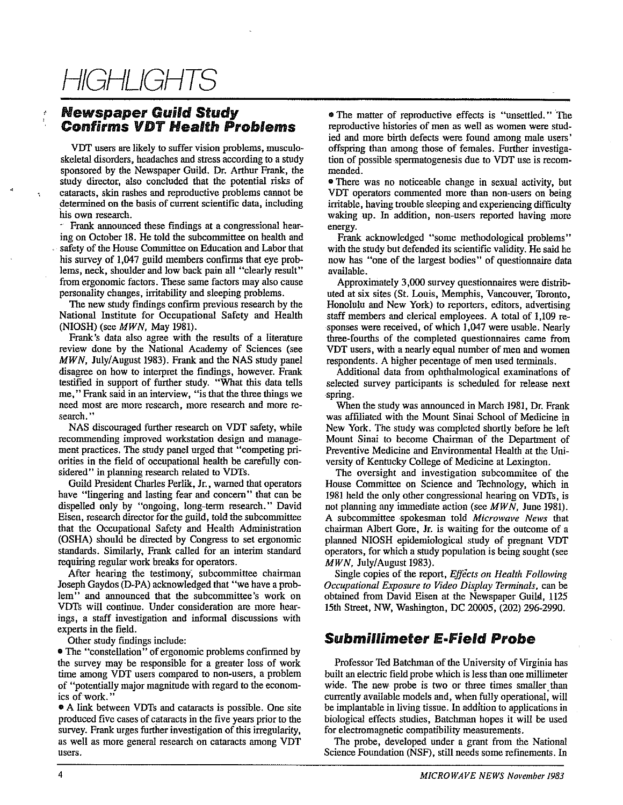# HIGHLIGHTS

### **Newspaper Guild Study**  ' **Confirms VDT Health Problems**

**VDT** users are likely to suffer vision problems, mnsculoskeletal disorders, headaches and stress according to a study sponsored by the Newspaper Guild. Dr. Arthur Frank, the study director, also concluded that the potential risks of ; cataracts, skin rashes and reproductive problems cannot be determined on the basis of current scientific data, including his own research.<br>- Frank announced these findings at a congressional hear-

ing on October 18. He told the subcommittee on health and safety of the House Committee on Education and Labor that his survey of 1,047 guild members confirms that eye problems, neck, shoulder and low back pain all "clearly result" from ergonomic factors. These same factors may also cause personality changes, irritability and sleeping problems.

The new study findings confirm previous research by the National Institute for Occupational Safety and Health NOSH) (see *MWN,* May 1981).

Frank's data also agree with the results of a literature review done by the National Academy of Sciences (see *MWN*, July/August 1983). Frank and the NAS study panel disagree on how to interpret the findings, however. Frank testified in support of further study. "What this data tells me," Frank said in an interview, "is that the three things we need most are more research, more research and more research."

NAS discouraged further research on VDT safety, while recommendmg improved workstation design and management practices. The study panel urged that "competing priorities in the field of occupational health be carefully considered" in planning research related to VDTs.

Guild President Charles Perlik, Jr., warned that operators have "lingering and lasting fear and concern" that can be dispelled only by "ongoing, long-term research." David Eisen, research director for the guild, told the subcommittee that the Occupational Safety and Health Administration (OSHA) should be directed by Congress to set ergonomic standards. Similarly, Frank called for an interim standard requiring regular work breaks for operators.

After hearing the testimony; subcommittee chairman Joseph Gaydos (D-PA) acknowledged that "we have a problem" and announced that the subcommittee's work on VDTs will continue. Under consideration are more hearings, a staff investigation and informal discussions with experts in the field.

Other study findings include:

• The "constellation" of ergonomic problems confirmed by the survey may be responsible for a greater loss of work time among VDT users compared to non-users, a problem of "potentially major magnitude with regard to the economics of work."<br>• A link between VDTs and cataracts is possible. One site

produced five cases of cataracts in the five years prior to the survey. Frank urges further investigation of this irregularity, as well as more general research on cataracts among VDT users.

• The matter of reproductive effects is "unsettled." The reproductive histories of men as well as women were studied and more birth defects were found among male users' offspring than among those of females. Further investigation of possible spermatogenesis due to VDT use is recommended.

• There was no noticeable change in sexual activity, but VDT operators commented more than non-users on being initable, having trouble sleeping and experiencing difficulty waking up. In addition, non-users reported having more energy.

Frank acknowledged "some methodological problems" with the study but defended its scientific validity. He said he now has "one of the largest bodies" of questionnaire data available.

Approximately 3,000 survey questionnaires were distributed at six sites (St. Louis, Memphis, Vancouver, Toronto, Honolulu and New York) to reporters, editors, advertising staff members and clerical employees. A total of 1,109 responses were received, of which 1,047 were usable. Nearly three-fourths of the completed questionnaires came from VDT users, with a nearly equal number of men and women respondents. A higher pecentage of men used terminals.

Additional data from ophthalmological examinations of selected survey participants is scheduled for release next spring.

When the study was announced in March 1981, Dr. Frank was affiliated with the Mount Sinai School of Medicine in New York. The study was completed shortly before he left Mount Sinai to become Chairman of the Department of Preventive Medicine and Environmental Health at the University of Kentucky College of Medicine at Lexington.

The oversight and investigation subcommitee of the House Committee on Science and Technology, which in 1981 held the only other congressional hearing on VDTs, is not planning any immediate action (see *MWN,* June 1981). A subcommittee spokesman told *Microwave News* that chairman Albert Gore, Jr. is waiting for the outcome of a planned NIOSH epidemiological study of pregnant VDT operators, for which a stndy population is being sought (see *MWN,* July/August 1983).

Single copies of the report, *Effects on Health Following Occlipational Exposure to Video Display Terminals,* can be obtained from David Eisen at the Newspaper Guild, 1125 15th Street, **NW,** Washmgton, DC 20005, (202) 296-2990.

### **Submillimeter E-Field Probe**

Professor Ted Batchman of the University of Virginia has built an electric field probe which is less than one millimeter wide. The new probe is two or three times smaller than currently available models and, when fully operational, will be implantable in living tissue. In addition to applications in biological effects studies, Batchman hopes it will be used for electromagnetic compatibility measurements.

The probe, developed under a grant from the National Science Foundation (NSF), still needs some refinements. In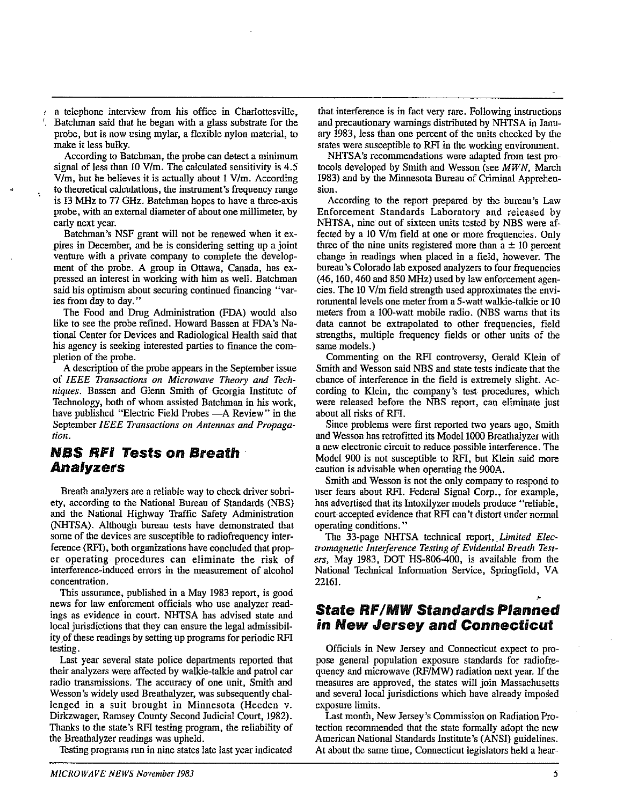a telephone interview from his office in Charlottesville, , Batchman said that he began with a glass substrate for the probe, but is now using mylar, a flexible nylon material, to make it less bulky.

According to Batchman, the probe can detect a minimum signal of less than 10 V/m. The calculated sensitivity is  $4.5$  $V/m$ , but he believes it is actually about 1  $V/m$ . According to theoretical calculations, the instrument's frequency range is 13 MHz to 77 GHz. Batchman hopes to have a three-axis probe, with an external diameter of about one millimeter, by early next year.

Batchman's NSF grant will not be renewed when it expires in December, and he is considering setting up a joint venture with a private company to complete the development of the probe. A group in Ottawa, Canada, has expressed an interest in working with him as well. Batchman said his optimism about securing continued fmancing "varies from day to day."

The Food and Drug Administration (FDA) would also like to see the probe refmed. Howard Bassen at FDA's National Center for Devices and Radiological Health said that his agency is seeking interested parties to fmance the completion of the probe.

A description of the probe appears in the September issue of *IEEE Transactions on Microwave Theory and Techniques.* Bassen and Glenn Smith of Georgia Institute of Technology, both of whom assisted Batchman in his work, have published "Electric Field Probes - A Review" in the September *IEEE Transactions on Antennas and Propagatiom.* 

### **NBS RFI Tests on Breath Analyzers**

Breath analyzers are a reliable way to check driver sohriety, according to the National Bureau of Standards (NBS) and the National Highway Traffic Safety Administration (NHTSA). Although bureau tests have demonstrated that some of the devices are susceptible to radiofrequency interference (RFI), both organizations have concluded that proper operating procedures can eliminate the risk of interference-induced errors in the measurement of alcohol concentration.

This assurance, published in a May 1983 report, is good news for law enforcment officials who use analyzer readings as evidence in court. NHTSA has advised state and local jurisdictions that they can ensure the legal admissihility of these readings by setting up programs for periodic RFI testing.

Last year several state police departments reported that their analyzers were affected by walkie-talkie and patrol car radio transmissions. The accuracy of one unit, Smith and Wesson's widely used Breathalyzer, was subsequently challenged in a suit brought in Minnesota (Heeden v. Dirkzwager, Ramsey County Second Judicial Court, 1982). Thanks to the state's RFl testing program, the reliability of the Breathalyzer readings was upheld.

Testing programs run in nine states late last year indicated

that interference is in fact very rare. Following instructions and precautionary warnings distributed by NHTSA in Janu**ary** 1983, less than one percent of the units checked by the states were susceptible to RFI in the working environment.

NHTSA's recommendations were adapted from test protocols developed by Smith and Wesson (see *MWN,* March 1983) and by the Minnesota Bureau of Criminal Apprehension.

According to the report prepared by the bureau's Law Enforcement Standards Laboratory and released by NHTSA, nine out of sixteen units tested by NBS were affected by a 10 Vlm field at one or more frequencies. Only three of the nine units registered more than  $a \pm 10$  percent change in readings when placed in a field, however. The bureau's Colorado lab exposed analyzers to four frequencies (46,160,460 and 850 MHz) used by law enforcement agencies. The 10 V/m field strength used approximates the environmental levels one meter from a 5-watt walkie-talkie or 10 meters from a 100-watt mobile radio. **(NBS** wams that its data cannot he extrapolated to other frequencies, field strengths, multiple frequency fields or other units of the same models.)

Commenting on the RFI controversy, Gerald Klein of Smith and Wesson said NBS and state tests indicate that the chance of interference in the field is extremely slight. According to Klein, the company's test procedures, which were released before the NBS report, can eliminate just about all risks of RFI.

Since problems were first reported two years ago, Smith and Wesson has retrofitted its Model 1000 Breathalyzer with a new electronic circuit to reduce possible interference. The Model 900 is not susceptible to RFI, hut Klein said more caution is advisable when operating the 900A.

Smith and Wesson is not the only company to respond to user fears about RFI. Federal Signal Corp., for example, has advertised that its Intoxilyzer models produce "reliable, court-accepted evidence that RFl can't distort under normal operating conditions. "

The 33-page NHTSA technical report, *Limited Electromagnetic Interference Testing of Evidential Breath Testers,* May 1983, DOT HS-806-400, is available from the National Technical Information Service, Springfield, VA 22161.

### **State Rf/MW Standards Planned in New Jersey and Connecticut**

Officials in New Jersey and Connecticut expect to propose general population exposure standards for radiofrequency and microwave (RF/MW) radiation next year. If the measures are approved, the states will join Massachusetts and several local jurisdictions which have already imposed exposure limits.

Last month, New Jersey's Commission on Radiation Protection recommended that the state formally adopt the new American National Standards Institute's (ANSI) guidelines. At about the same time, Connecticut legislators held a hear-

**6**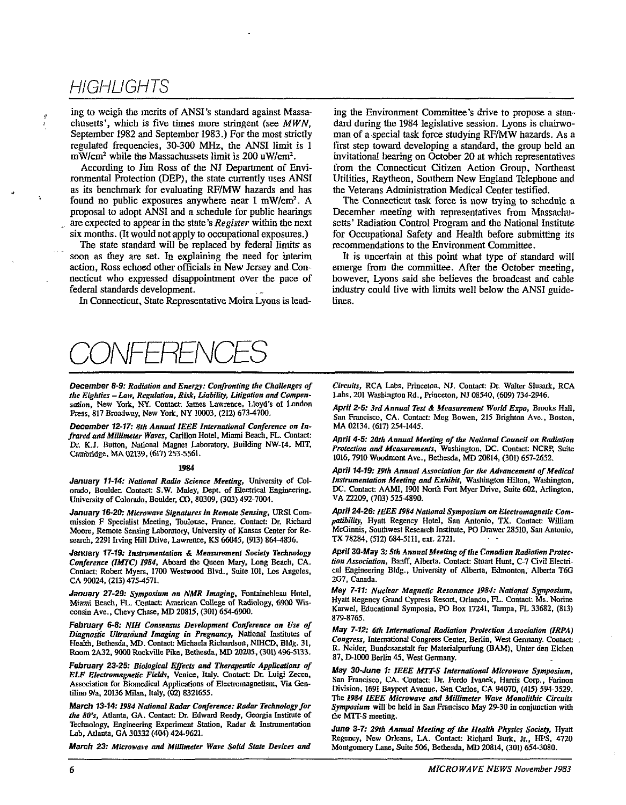### **HIGHLIGHTS**

ing to weigh the merits of ANSI's standard against Massachusetts', which is five times more stringent (see **MWN,**  September 1982 and September 1983.) For the most strictly regulated frequencies, 30-300 MHz, the ANSI limit is 1  $mW/cm<sup>2</sup>$  while the Massachussets limit is 200 uW/cm<sup>2</sup>.

According to Jim Ross of the NJ Department of Environmental Protection (DEP), the state currently uses ANSI as its benchmark for evaluating RF/MW hazards and has found no public exposures anywhere near 1 mW/cm<sup>2</sup>. A proposal to adopt ANSI and a schedule for public hearings are expected to appear in the state's Register within the next six months. (It would not apply to occupational exposures.)

The state standard will be replaced by federal limits as soon as they **are** set. In explaining the need for interim action, Ross echoed other officials in New Jersey and Connecticut who expressed disappointment over the pace of federal standards development.

In Connecticut, State Representative Moira Lyons is lead-

ing the Environment Committee's drive to propose a standard during the 1984 legislative session. Lyons is chairwoman of a special task force studying RF/MW hazards. As a first step toward developing a standard, the group held an invitational hearing on October 20 at which representatives from the Connecticut Citizen Action Group, Northeast Utilities, Raytheon, Southern New England Telephone and the Veterans Administration Medical Center testified.

**The** Connecticut task force is now trying to schedule a December meeting with representatives from Massachusetts' Radiation Control Program and the National Institute for Occupational Safety and Health before submitting its recommendations to the Environment Committee.

It is uncertain at this point what type of standard will emerge from the committee. After the October meeting, however, Lyons said she believes the broadcast and cable industry could live with limits well below the ANSI guidelines.



the Eighties - Law, Regulation, Risk, Liability, Litigation and Compensation, New York, NY. Contact: James Lawrence, Lloyd's of London

**December 12-17: 8th Annual IEEE International Conference on In-**<br>**frared and Millimeter Waves**, Carillon Hotel, Miami Beach, FL. Contact: **frared and Middmeter Wives, Carinon Hotel, Miami Beach, FL. Contact: April 4-5: 20th Annual Meeting of the National Council on Radiation**<br>Dr. K.J. Button, National Magnet Laboratory, Building NW-14, MIT, *Protestion an* Dr. K.J. Button, National Magnet Laboratory. Building NW-14. MIT. *protection and Measurements*, Washington, DC, Contact: NCRP, Suite<br>1916–2010 Measurement Ave., Retherda, MD 3994–4390 Served and Deckenda, MD 3994–4390 662

#### **1984**

January 11-14: National Radio Science Meeting, University of Colorado, Boulder. Contact: S.W. Maley, **Depr.** of Electrical Engineering. University of Colorado, Boulder, **0,** 80309, (303) 492-7004.

**January 16-20: Microwave Signatures in Remote Sensing, URSI Com**mission F Specialist Meeting, Toulouse, France. Contact: Dr. Richard Mwre, Remote Sensing Labaratory, University of Kansas **Center for** Research, 2291 Irving Hill Drive. Lawrence, KS 66045, (913) 864-4836.

**January 17-19: Instrumentation & Measurement Society Technology Conference (IMTC) 1984, Aboard the Queen Mary, Long Beach, CA.** Contact: Robert Myers, 1700 Westwood Blvd., Suite 101. Los Angeles, **CA** 90024, (213) 475-4571.

January 27-29: Symposium on NMR Imaging. Fontainebleau Hotel, Miami Beach, FL. Contact: American College of Radiology, 6900 Wisconsin Ave., Chevy Chase, MD 20815, (301) 654-6900.

February 6-8: NIH Consensus Development Conference on Use of<br>Diagnostic Ultrasound Imaging in Pregnancy, National Institutes of May 7-12: 6th International Radiation Protection Association (IRPA)<br>Health, Bethesda, MD. Cont Room 2A32, 9000 Rockville Pike. Bethesda, MD 20205, (301) 496-5133.

**February 23-25: Biological Effects and Therapeutic Applications of May 30-June 1: IEEE MTT-S International Microwave Symposium, <br>
ELF Electromagnetic Fields, Venice, Italy. Contact: Dr. Luigi Zecca, San Francisco, CA. Con** 

*the 80's*, Atlanta, GA. Contact: Dr. Edward Reedy, Georgia Institute of Technology, Engineering Experiment Station, Radar & Instrumentation Lab. Atlanta. GA 30332 (404) 424-9621.

**December 8-9: Radiation and Energy: Confronting the Challenges of** *Circuits***, RCA Labs, Princeton, NJ. Contact: Dr. Walter Slusark, RCA** *the Eighties – Law. Regulation. Risk, Liability. Litigation and Compen-* **Labs, 201 W** 

Sation, New York, NY. Comact: James Lawrence, Lloyd's UL London<br>Press, 817 Broadway, New York, NY 10003, (212) 673-4700.<br>December 12-17: 8th Annual IEEE International Conference on In-<br>MA 02134. (617) 254-1445.

1016, 7910 Woodmont Ave., Bethesda, MD 20814, (301) 657-2652.

April 14-19: 19th Annual Association for the Advancement of Medical **Instrumentation Meeting and Exhibit, Washington Hilton, Washington, DC.** Contact: **AAMI,** 1901 NorUl Fort Myer Drive, Suite **602, Arlington,**  VA 22209, (703) 5254890.

April 24-26: IEEE 1984 National Symposium on Electromagnetic Com**pufibilify,** Hyatt Regency Hotel. San Antonio, **TX.** Contact: William McGinnis, Southwest Research Institute, PO Drawer 28510, San Antonio, TX 78284, (512) 684-5111, ext. 2721.

April 30-May 3: 5th Annual Meeting of the Canadian Radiation Protec*fion Association, Banff, Alberta. Contact: Stuart Hunt, C-7 Civil Electri*cal Engineering Bldg., University of Alberta, Edmonton, Alberta T6G 2G7, Canada.

**May 7-11: Nuclear Magnetic Resonance 1984: National Symposium,** Hyatt Regency Grand Cypress Resort, Orlando, FL. Contact: Ms. Norine Karwel, Educational Symposia, PO Box 17241, Tampa, FL 33682, (813) **879-8765**.

87, D-1000 Berlin 45, West Germany.

*ELF* Electromagnenc Fielas, Venice, Hary. Contact: Dr. Luigi Zecca,<br>Association for Biomedical Applications of Electromagnetism, Via Gen.<br>
Biometrics. CA. Contact: Dr. Ferdo Ivanek, Harris Corp., Farinon<br>
Division, 1691 B Division, 1691 Bayport Avenue, San Carlos, CA 94070, (415) 594-3529. **The 1984 IEEE Microwave and Millimeter Wave Monolithic Circuits March 13-14: 1984 National Radar Conference: Radar Technology for Symposium will be held in San Francisco May 29-30 in conjunction with the 80's, Atlanta, GA. Contact: Dr. Edward Reedy, Georgia Institute of the MTT-S meet** 

June 3-7: 29th Annual Meeting of the Health Physics Society, Hyatt Regency, New Orleans, LA. Contact: Richard Burk, *Ir.*, HPS, 4720 **March 23: Microwave and Millimeter Wave Solid State Devices and Montgomery Lane, Suite 506, Bethesda, MD 20814, (301) 654-3080.**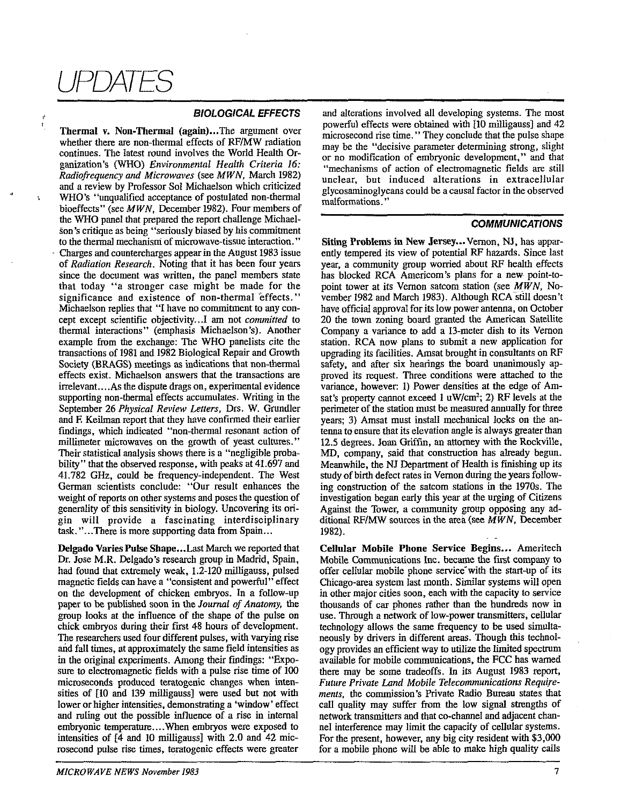# JPDATES

ŀ.

#### **BIOLOGICAL EFFECTS**

Thermal v. Non-Thermal (again)...The argument over whether there are non-thermal effects of RF/MW radiation continues. The latest round involves the World Health Organization's (WHO) Environmental Health Criteria **16:**  Radiofrequency and Microwaves (see MWN, March 1982) and a review by Professor Sol Michaelson which criticized WHO'S "unqualified acceptance of postulated non-thermal hioeffects" (see MWN, December 1982). Four members of the WHO panel that prepared the report challenge Michaelson's critique as being "seriously biased by his commitment to the thermal mechanism of microwave-tissue interaction." Charges and countercharges appear in the August 1983 issue of Radiation Research. Noting that it has been four years since the document was written, the panel members state that today "a stronger case might be made for the significance and existence of non-thermal effects." Michaelson replies that "I have no commitment to any concept except scientific objectivity...I am not committed to thermal interactions" (emphasis Michaelson's). Another example from the exchange: The WHO panelists cite the transactions of 1981 and 1982 Biological Repair and Growth Society (BRAGS) meetings as indications that non-thermal effects exist. Michaelsou answers that the transactions **are**  irrelevant....As the dispute drags on, experimental evidence supporting non-thermal effects accumulates. Writing in the September 26 Physical Review Letters, Drs. W. Grundler and **E** Keilman report that they have confirmed their earlier findings, which indicated "non-thermal resonant action of millimeter microwaves on the growth of yeast cultures." Their statistical analysis shows there is a "negligible probability" that the observed response, with peaks at 41.697 and 41.782 GHz, could be frequency-independent. The West German scientists conclude: "Our result enhances the weight of reports on other systems and poses the question of genenlity of this sensitivity in biology. Uncovering its origin will provide a fascinating interdisciplinary task. "...There is more supporting data from Spain ...

Delgado Varies Pulse Shape... Last March we reported that Dr. Jose M.R. Delgado's research group in Madrid, Spain, had found that extremely weak, 1.2-120 milligauss, pulsed magnetic fields can have a "consistent and powerful" effect on the development of chicken embryos. In a follow-up paper to be published soon in the Journal of Anaromy, the group looks at the influence of the shape of the pulse on chick embryos during their first 48 hours of development. The researchers used four different pulses, with varying rise and fall times, at approximately the same field intensities as in the original experiments. Among their findings: "Exposure to electromagnetic fields with a pulse rise time of 100 microseconds pmduced teratogenic changes when intensities of [lo and 139 milligauss] were used but not with lower or higher intensities, demonstrating a 'window' effect and ruling out the possible influence of a rise in internal embryonic temperature.. . .When embryos were exposed to intensities of [4 and 10 milligauss] with 2.0 and 42 microsecond pulse rise times, teratogenic effects were greater

and alterations involved all developing systems. The most powefil effects were obtained with 110 milligauss] and 42 microsecond rise time." They conclude that the pulse shape may be the "decisive parameter determining strong, slight or no modification of embryonic development," and that "mechanisms of action of electromagnetic fields are still unclear, hut induced alterations in extracellular gtycosaminoglycans could be a causal factor in the observed malformations."

#### **COMMUNICATIONS**

**Siting Problems in New Jersey...** Vernon, NJ, has apparently tempered its view of potential RF hazards. Since last year, a community group womed about RF health effects has blocked RCA Americom's plans for a new point-topoint tower at its Vernon satcom station (see MWN, November 1982 and March 1983). Although RCA still doesn't have official approval for its low power antenna, on October 20 the town zoning board granted the American Satellite Company a variance to add a 13-meter dish to its Vemon station. RCA now plans to submit a new application for upgrading its facilities. Amsat brought in consultants on RF safety, and after six hearings the board unanimously approved its request. Three conditions were altached to the variance, however: 1) Power densities at the edge of Amsat's property cannot exceed 1 uW/cm<sup>2</sup>; 2) RF levels at the perimeter of the station must be measured annually for three years; 3) Amsat must install mechanical locks on the antenna to ensure that its elevation angle is always greater than 12.5 degrees. Joan Griffin, an attorney with the Rockville, **MD,** company, said that construction has already begun. Meanwhile, the NJ Department of Health is finishing up its study of **birth** defect rates in Vernon during the years following construction of the satcom stations in the 1970s. The investigation began early this year at the urging of Citizens Against the Tower, a community group opposing any additional RF/MW sources in the area (see  $MWN$ , December 1982).

Cellular Mobile Phone Service Begins... Ameritech Mobile Communications Inc. became the first company to offer cellular mobile phone service with the start-up of its Chicago-area system last month. Similar systems will open in other major cities soon, each with the capacity to service thousands of car phones rather than the hundreds now in use. Through a network of low-power transmitters, cellular technology allows the same frequency to be used simultaneously by drivers in different areas. Though this technology provides an efficient way to utilize the limited spectrum available for mobile commuuications, the FCC has warned there may be some tradeoffs. In its August 1983 report, Future Private Land Mobile Telecommunications Requirements, the commission's Private Radio Bureau states that call quality may suffer from the low signal strengths of network transmitters and that co-channel and adjacent channel interference may limit the capacity of cellular systems. For the present, however, any big city resident with \$3,000 for a mobile phone will be able to make high quality calls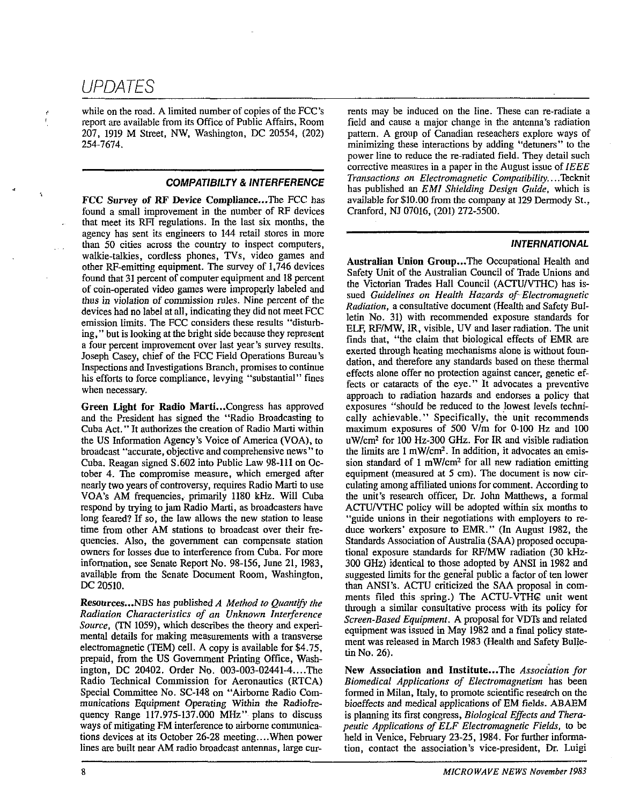while on the road. A limited number of copies of the FCC's<br>report are available from its Office of Public Affairs. Room report are available from its Office of Public Affairs, Room 207, 1919 M Street, NW, Washington, DC 20554, (202) 254-7674.

**COMPATIBILTY & INTERFERENCE**<br>**FCC Survey of RF Device Compliance...** The FCC has<br>found a small improvement in the number of RF devices that meet its RFI regulations. In the last six months, the agency has sent its engineers to 144 retail stores in more than 50 cities across the country to inspect computers, walkie-talkies, cordless phones, TVs, video games and other RF-emitting equipment. The survey of 1,746 devices found that 31 percent of computer equipment and 18 percent of coin-operated video games were improperly labeled and thus in violation of commission rules. Nine percent of the devices had no label at all, indicating they did not meet FCC emission limits. The FCC considers these results "disturbing," but is looking at the bright side because they represent a four percent improvement over last year's survey results. Joseph Casey, chief of the FCC Field Operations Bureau's Inspections and Investigations Branch, promises to continue his efforts to force compliance, levying "substantial" fines when necessary.

Green Light for Radio Marti... Congress has approved and the President has signed the "Radio Broadcasting to Cuba Act." It authorizes the creation of Radio Marti within the US Information Agency's Voice of America (VOA), to broadcast "accurate, objective and comprehensive news" to Cuba. Reagan signed S.602 into Public Law 98-111 on October 4. The compromise measure, which emerged after nearly two years of controversy, requires Radio Marti to use VOA's AM frequencies, primarily 1180 kHz. Will Cuba respond by trying to jam Radio Marti, as broadcasters have long feared? If so, the law allows the new station to lease time from other AM stations to broadcast over their frequencies. Also, the government can compensate station owners for losses due to interference from Cuba. For more information, see Senate Report No. 98-156, June 21,1983, available from the Senate Document Room, Washington, **DC** 20510.

Resources...NBS has published *A Method to Quantify the Radiation Characteristics of an Unknown Interference Source.* **(TN** 1059), which describes the theory and experimental details for making measurements with a transverse electromagnetic (TEM) cell. A copy is available for \$4.75, prepaid, from the US Government Printing Office, Washington, DC 20402. Order No. 003-003-02441-4.. ..The Radio Technical Commission for Aeronautics (RTCA) Special Committee No. SC-148 on "Airborne Radio Communications Equipment Operating Within the Radiofrequency Range 117.975-137.000 MHz" plans to discuss ways of mitigating **FM** interference to airborne communications devices at its October 26-28 meeting....When power lines are built near AM radio broadcast antennas, large currents may be induced on the line. These can re-radiate a field and cause a major change in the antenna's radiation pattern. A group of Canadian reseachers explore ways of minimizing these interactions by adding "detuners" to the power line to reduce the re-radiated field. They detail such corrective measures in a paper in the August issue of *IEEE Transactions on Electromagnetic Compatibility....Tecknit* has published an *EM1 Shielding Design Guide,* which is available for \$10.00 from the company at 129 Dermody St., Cranford, NJ 07016, (201) 272-5500.

#### **INTERNATIONAL**

Australian Union Group...The Occupational Health and Safety Unit of the Australian Council of Trade Unions and the Victorian Trades Hall Council (ACTU/VTHC) has issued *Guidelines on Health Hazards of-Electromagnetic Radiation,* a consultative document (Health and Safety Bulletin No. 31) with recommended exposure standards for **ELF,** RFIMW, IR, visible, UV and laser radiation. The unit finds that, "the claim that biological effects of **EMR** are exerted through heating mechanisms alone is without foundation, and therefore any standards based on these thermal effects alone offer no protection against cancer, genetic effects or cataracts of the eye." It advocates a preventive approach to radiation hazards and endorses a policy that exposures "should be reduced to the lowest levels technically achievable. " Specifically, the unit recommends maximum exposures of 500 Vlm for 0-100 Hz and 100 uW/cm<sup>2</sup> for 100 Hz-300 GHz. For IR and visible radiation the limits are  $1 \text{ mW/cm}^2$ . In addition, it advocates an emission standard of  $1 \text{ mW/cm}^2$  for all new radiation emitting equipment (measured at 5 cm). The document is now circulating among affiliated unions for comment. According to the unit's research officer, Dr. John Matthews, a formal ACTU/VTHC policy will be adopted within six months to "guide unions in their negotiations with employers to reduce workers' exposure to **EMR."** (In August 1982, the Standards Association of Australia (SAA) proposed occupational exposure standards for **RFIMW** radiation (30 kHz-300 GHz) identical to those adopted by ANSI in 1982 and suggested limits for the general public a factor of ten lower than ANSI's. ACTU criticized the SAA proposal in comments filed this spring.) The ACTU-VTHG unit went through a similar consultative process with its policy for *Screen-Based Equipment.* A proposal for VDTs and related equipment was issued in May 1982 and a final policy statement was released in March 1983 (Health and Safety Bulletin No. 26).

New Association and Institute...The Association for *Biomedical Applications of Electromagnetism* has been formed in Milan, Italy, to promote scientific research on the bioeffects and medical applications of EM fields. ABAEM is planning its first congress, *Biological Effects and Therapeutic Applications of ELF Electromagnetic Fields, to be* held in Venice, February 23-25, 1984. For further information, contact the association's vice-president, Dr. Luigi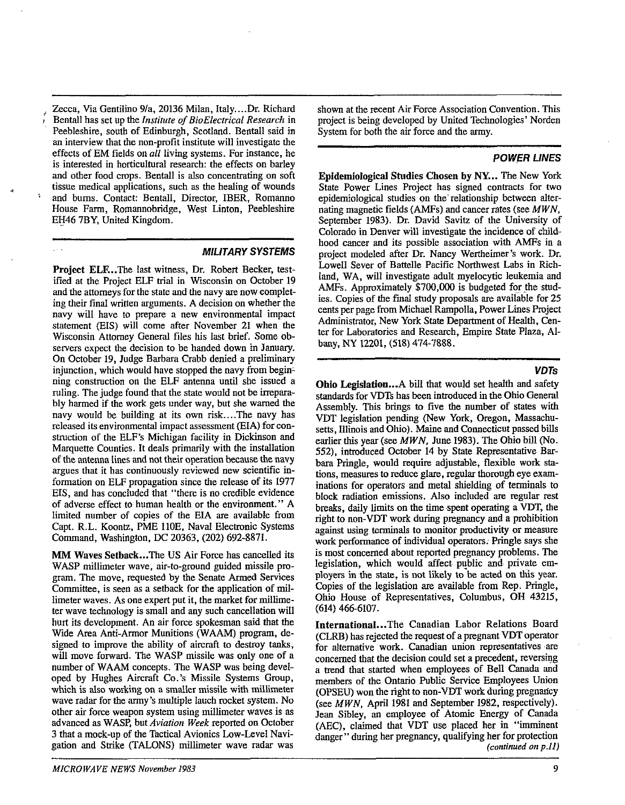Zecca, Via Gentilino 9/a, 20136 Milan, Italy....Dr. Richard 8 Bentall has set up the *Institute* of *BioElectrical Research* in Peebleshire, south of Edinburgh, Scotland. Bentall said in an interview that the non-profit institute will investigate the effects of EM fields on *all* living systems. For instance, he is interested in horticultural research: the effects on barley and other food crops. Bentall is also concentrating on soft tissue medical applications, such as the healing of wounds and bums. Contact: Bentall, Director, IBER, Romanno House Farm, Romannobridge, West Linton, Peehleshire EH46 7BY, United Kingdom.

**MILITARY SYSTEMS** 

Project ELE..The last witness, Dr. Robert Becker, testified at the Project ELF trial in Wisconsin on October 19 and the attorneys for the state and the navy are now eompleting their final written arguments. A decision on whether the navy will have to prepare a new environmental impact statement (EIS) will come after November 21 when the Wisconsin Attorney General files his last brief. Some observers expect the decision to be handed down in January. On October 19, Judge Barbara Crabb denied a preliminary injunction, which would have stopped the navy from beginning constmction on the ELF antenna until she issued a ruling. The judge found that the state would not be irreparably harmed if the work gets under way, but she warned the navy would be building at its own risk....The navy has released its environmental impact assessment (EIA) for construction of the ELF'S Michigan facility in Dickinson and Marquette Counties. It deals primarily with the installation of **the** antenna lines and not their operation because the navy argues that it has continuously reviewed new scientific information on ELF propagation since the release of its 1977 EIS, and has concluded that "there is no credible evidence of adverse effect to human health or the environment." A limited number of copies of the EIA are available from Capt. R.L. Koontz, PME 110E, Naval Electronic Systems Command, Washington, DC 20363, (202) 692-8871.

**MM** Waves Setback ... The US Air Force has cancelled its WASP millimeter wave, air-to-ground guided missile program. The move, requested by the Senate Anned Services Committee, is seen as **a** setback for the application of millimeter waves. As one expert put it, the market for millimeter wave technology is small and any such cancellation will hurt its development. An air force spokesman said that the Wide Area Anti-Armor Munitions (WAAM) program, designed to improve the ability of aircraft to destroy tanks, will move forward. The WASP missile was only one of a number of WAAM concepts. The WASP was being developed by Hughes **Aircraft** Co.'s Missile Systems Group, which is also working on a smaller missile with millimeter wave radar for the army's multiple lauch rocket system. No other air force weapon system using millimeter waves is as advanced as WASP, hut *Aviation Week* reported on October 3 that a mock-up of the Tactical Avionics Low-Level Navigation and Strike (TALONS) millimeter wave radar was

shown at the recent Air Force Association Convention. This project is bcing developed by United Technologies' Norden System for both the air force and the army.

#### **POWER UNES**

Epidemiological Studies Chosen by NY... The New York State Power Lines Project has signed contracts for two epidemiological studies on the'relationship between alternating magnetic fields (AMFs) and cancer rates (see *MWN,*  September 1983). Dr. David Savitz of the University of Colorado in Denver will investigate the incidence of childhood cancer and its possible association with AMFs in a project modeled after Dr. Nancy Wertheimer's work. Dr. Lowell Sever of Battelle Pacific Northwest Labs in Richland, WA, will investigate adult myelocytic leukemia and AMFs. Approximately \$700,000 is budgeted for the studies. Copies of the final study proposals are available for 25 cents per page from Michael Rampolla, Power Lines Project Administrator, New York State Department of Health, Center for Laboratories and Research, Empire State Plaza, Albany, NY 12201, (518) 474-7888. - - - --

#### **VDTs**

Ohio Legislation...A bill that would set health and safety standards for VDTs has been introduced in the Ohio Genemi Assembly. This brings to five the number of states with VDT legislation pending (New York, Oregon, Massachusetts, Illinois and Ohio). Maine and Connecticut passed bills earlier this year (see *MWN,* June 1983). The Ohio bill (No. 552). introduced October 14 by State Representative Barbara Pringle, would require adjustable, flexible work stations, measures to reduce glare, regular thorough eye examinations for operators and metal shielding of terminals to block radiation emissions. Also included are regular rest breaks, daily limits on the time spent operating a VDT, the right to non-VDT work during pregnancy and a prohibition against using terminals to monitor pmductivity or measure work performance of individual operators. Pringle says she is most concerned about reported pregnancy problems. The legislation, which would affect puplic and private employers in the state, is not likely to be acted on this year. Copies of the legislation are available from Rep. Pringle, Ohio House of Representatives, Columbus, OH 43215, (614) 466-6107.

International. ..The Canadian Labor Relations Board (CLRB) has rejected the request of a pregnant VDT operator for alternative work. Canadian union representatives are concerned that the decision could set a precedent, reversing a trend that started when employees of Bell Canada and members of the Ontario Public Service Employees Union (OPSEU) won the **right** to non-VDT work during pregnaacy (see *MWN,* April 1981 and September 1982, respectively). Jean Sibley, an employee of Atomic Energy of Canada (AEC), claimed that VDT use placed her in "imminent danger" during her pregnancy, qualifying her for protection *(continued* **on** *p.11)*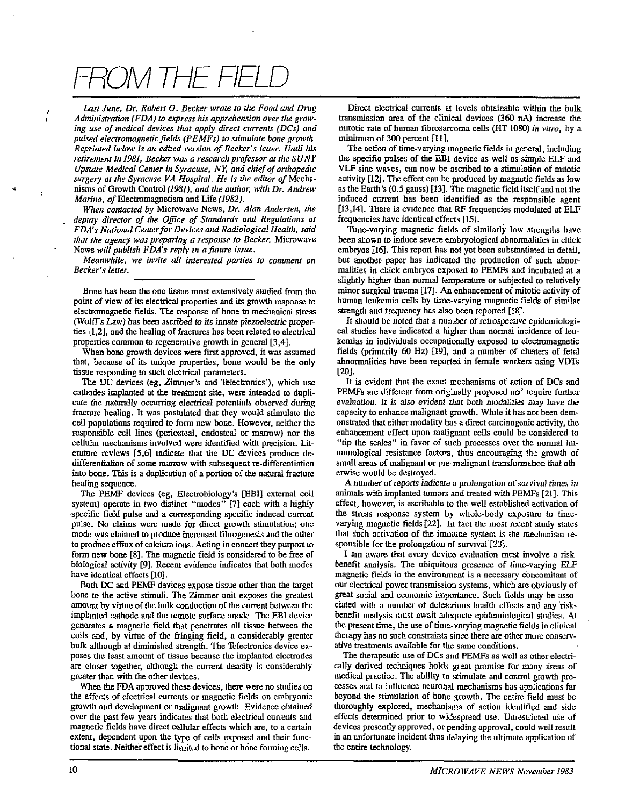# ROM THE FIEL

Last June, Dr. Robert O. Becker wrote to the Food and Drug Administration (FDA) to express his apprehension over the growing use of medical devices that apply direct currents (DCs) and pulsed electromagnetic fields (PEMFs) to stimulate bone growth. Reprinted below is an edited version of Becker's letter. Until his retirement in 1981. Becker was a research professor at the SUNY Upstate Medical Center in Syracuse, NY, and chief of orthopedic surgery at the Syracuse VA Hospital. He is the editor of Mechanisms of Growth Control (1981), and the author, with Dr. Andrew Marino, of Electromagnetism and Life (1982).

When contacted by Microwave News, Dr. Alan Andersen, the deputy director of the Office of Standards and Regulations at FDA's National Center for Devices and Radiological Health, said that the agency was preparing a response to Becker. Microwave News will publish FDA's reply in a future issue.

Meanwhile, we invite all interested parties to comment on Becker's letter.

Bone has been the one tissue most extensively studied from the point of view of its electrical properties and its growth response to electromagnetic fields. The response of bone to mechanical stress (Wolff's Law) has been ascribed to its innate piezoelectric properties [1,2], and the healing of fractures has been related to electrical properties common to regenerative growth in general [3,4].

When bone growth devices were first approved, it was assumed that, because of its unique properties, bone would be the only tissue responding to such electrical parameters.

The DC devices (eg, Zimmer's and Telectronics'), which use cathodes implanted at the treatment site, were intended to duplicate the naturally occurring electrical potentials observed during fracture healing. It was postulated that they would stimulate the cell populations required to form new bone. However, neither the responsible cell lines (periosteal, endosteal or marrow) nor the cellular mechanisms involved were identified with precision. Literature reviews [5,6] indicate that the DC devices produce dedifferentiation of some marrow with subsequent re-differentiation into bone. This is a duplication of a portion of the natural fracture healing sequence.

The PEMF devices (eg, Electrobiology's [EBI] external coil system) operate in two distinct "modes" [7] each with a highly specific field pulse and a corresponding specific induced current pulse. No claims were made for direct growth stimulation; one mode was claimed to produce increased fibrogenesis and the other to produce efflux of calcium ions. Acting in concert they purport to form new bone [8]. The magnetic field is considered to be free of biological activity [9]. Recent evidence indicates that both modes have identical effects [10].

Both DC and PEMF devices expose tissue other than the target bone to the active stimuli. The Zimmer unit exposes the greatest amount by virtue of the bulk conduction of the current between the implanted cathode and the remote surface anode. The EBI device generates a magnetic field that penetrates all tissue between the coils and, by virtue of the fringing field, a considerably greater bulk although at diminished strength. The Telectronics device exposes the least amount of tissue because the implanted electrodes are closer together, although the current density is considerably greater than with the other devices.

When the FDA approved these devices, there were no studies on the effects of electrical currents or magnetic fields on embryonic growth and development or malignant growth. Evidence obtained over the past few years indicates that both electrical currents and magnetic fields have direct cellular effects which are, to a certain extent, dependent upon the type of cells exposed and their functional state. Neither effect is limited to bone or bone forming cells.

Direct electrical currents at levels obtainable within the bulk transmission area of the clinical devices (360 nA) increase the mitotic rate of human fibrosarcoma cells (HT 1080) in vitro, by a minimum of 300 percent [11].

The action of time-varying magnetic fields in general, including the specific pulses of the EBI device as well as simple ELF and VLF sine waves, can now be ascribed to a stimulation of mitotic activity [12]. The effect can be produced by magnetic fields as low as the Earth's (0.5 gauss) [13]. The magnetic field itself and not the induced current has been identified as the responsible agent [13,14]. There is evidence that RF frequencies modulated at ELF frequencies have identical effects [15].

Time-varying magnetic fields of similarly low strengths have been shown to induce severe embryological abnormalities in chick embryos [16]. This report has not yet been substantiated in detail. but another paper has indicated the production of such abnormalities in chick embryos exposed to PEMFs and incubated at a slightly higher than normal temperature or subjected to relatively minor surgical trauma [17]. An enhancement of mitotic activity of human leukemia cells by time-varying magnetic fields of similar strength and frequency has also been reported [18].

It should be noted that a number of retrospective epidemiological studies have indicated a higher than normal incidence of leukemias in individuals occupationally exposed to electromagnetic fields (primarily 60 Hz) [19], and a number of clusters of fetal abnormalities have been reported in female workers using VDTs  $[20]$ .

It is evident that the exact mechanisms of action of DCs and PEMFs are different from originally proposed and require further evaluation. It is also evident that both modalities may have the capacity to enhance malignant growth. While it has not been demonstrated that either modality has a direct carcinogenic activity, the enhancement effect upon malignant cells could be considered to "tip the scales" in favor of such processes over the normal immunological resistance factors, thus encouraging the growth of small areas of malignant or pre-malignant transformation that otherwise would be destroyed.

A number of reports indicate a prolongation of survival times in animals with implanted tumors and treated with PEMFs [21]. This effect, however, is ascribable to the well established activation of the stress response system by whole-body exposure to timevarying magnetic fields [22]. In fact the most recent study states that such activation of the immune system is the mechanism responsible for the prolongation of survival [23].

I am aware that every device evaluation must involve a riskbenefit analysis. The ubiquitous presence of time-varying ELF magnetic fields in the environment is a necessary concomitant of our electrical power transmission systems, which are obviously of great social and economic importance. Such fields may be associated with a number of deleterious health effects and any riskbenefit analysis must await adequate epidemiological studies. At the present time, the use of time-varying magnetic fields in clinical therapy has no such constraints since there are other more conservative treatments available for the same conditions.

The therapeutic use of DCs and PEMFs as well as other electrically derived techniques holds great promise for many areas of medical practice. The ability to stimulate and control growth processes and to influence neuronal mechanisms has applications far beyond the stimulation of bone growth. The entire field must be thoroughly explored, mechanisms of action identified and side effects determined prior to widespread use. Unrestricted use of devices presently approved, or pending approval, could well result in an unfortunate incident thus delaying the ultimate application of the entire technology.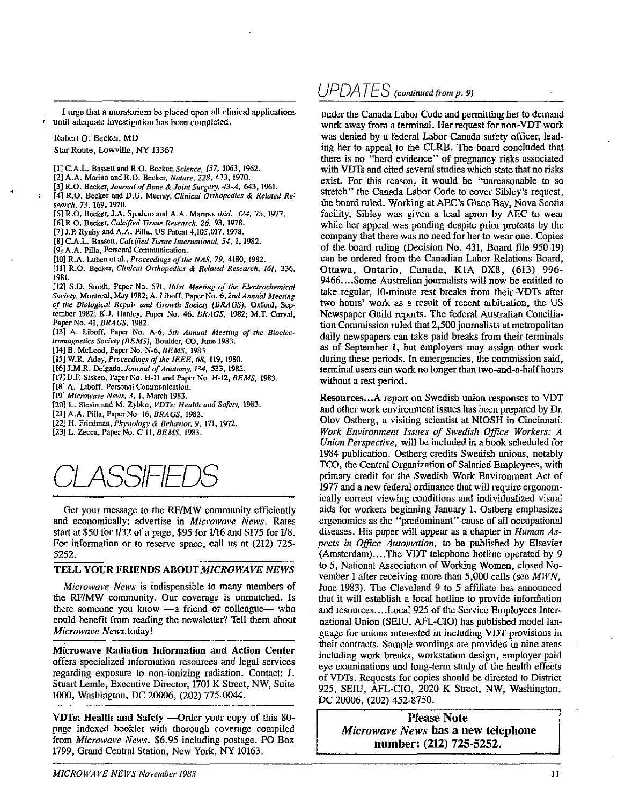I urge that a moratorium be placed upon all clinical applications until adequate investigation has been completed.

Robert O. Becker, MD

Star Route, Lowville, NY 13367

- [1] C.A.L. Bassett and R.O. Becker, Science, 137, 1063, 1962.
- [2] A.A. Marino and R.O. Becker, Nature, 228, 473, 1970.
- [3] R.O. Becker, Journal of Bone & Joint Surgery, 43-A, 643, 1961.
- [4] R.O. Becker and D.G. Murray, Clinical Orthopedics & Related Research, 73, 169, 1970.
- [5] R.O. Becker, J.A. Spadaro and A.A. Marino, ibid., 124, 75, 1977.
- [6] R.O. Becker, Calcified Tissue Research, 26, 93, 1978.
- [7] J.P. Ryaby and A.A. Pilla, US Patent 4, 105, 017, 1978.
- [8] C.A.L. Bassett, Calcified Tissue International, 34, 1, 1982.
- [9] A.A. Pilla, Personal Communication.
- [10] R.A. Luben et al., Proceedings of the NAS, 79, 4180, 1982.

[11] R.O. Becker, Clinical Orthopedics & Related Research, 161, 336, 1981.

[12] S.D. Smith, Paper No. 571, 161st Meeting of the Electrochemical Society, Montreal, May 1982; A. Liboff, Paper No. 6, 2nd Annual Meeting of the Biological Repair and Growth Society (BRAGS), Oxford, September 1982; K.J. Hanley, Paper No. 46, BRAGS, 1982; M.T. Corval, Paper No. 41, BRAGS, 1982.

[13] A. Liboff, Paper No. A-6, 5th Annual Meeting of the Bioelectromagnetics Society (BEMS), Boulder, CO, June 1983.

[14] B. McLeod, Paper No. N-6, BEMS, 1983.

[15] W.R. Adey, Proceedings of the IEEE, 68, 119, 1980.

[16] J.M.R. Delgado, Journal of Anatomy, 134, 533, 1982.

[17] B.F. Sisken, Paper No. H-11 and Paper No. H-12, BEMS, 1983.

[18] A. Liboff, Personal Communication.

[19] Microwave News, 3, 1, March 1983.

- [20] L. Slesin and M. Zybko, VDTs: Health and Safety, 1983.
- [21] A.A. Pilla, Paper No. 16, BRAGS, 1982.
- [22] H. Friedman, Physiology & Behavior, 9, 171, 1972.
- [23] L. Zecca, Paper No. C-11, BEMS, 1983.

Get your message to the RF/MW community efficiently and economically; advertise in Microwave News. Rates start at \$50 for 1/32 of a page, \$95 for 1/16 and \$175 for 1/8. For information or to reserve space, call us at (212) 725-5252.

#### TELL YOUR FRIENDS ABOUT MICROWAVE NEWS

Microwave News is indispensible to many members of the RF/MW community. Our coverage is unmatched. Is there someone you know -a friend or colleague- who could benefit from reading the newsletter? Tell them about Microwave News today!

Microwave Radiation Information and Action Center offers specialized information resources and legal services regarding exposure to non-ionizing radiation. Contact: J. Stuart Lemle, Executive Director, 1701 K Street, NW, Suite 1000, Washington, DC 20006, (202) 775-0044.

VDTs: Health and Safety —Order your copy of this 80page indexed booklet with thorough coverage compiled from Microwave News. \$6.95 including postage. PO Box 1799, Grand Central Station, New York, NY 10163.

### $UPDATAES$  (continued from p. 9)

under the Canada Labor Code and permitting her to demand work away from a terminal. Her request for non-VDT work was denied by a federal Labor Canada safety officer, leading her to appeal to the CLRB. The board concluded that there is no "hard evidence" of pregnancy risks associated with VDTs and cited several studies which state that no risks exist. For this reason, it would be "unreasonable to so stretch" the Canada Labor Code to cover Sibley's request, the board ruled. Working at AEC's Glace Bay, Nova Scotia facility, Sibley was given a lead apron by AEC to wear while her appeal was pending despite prior protests by the company that there was no need for her to wear one. Copies of the board ruling (Decision No. 431, Board file 950-19) can be ordered from the Canadian Labor Relations Board, Ottawa, Ontario, Canada, K1A 0X8, (613) 996-9466....Some Australian journalists will now be entitled to take regular, 10-minute rest breaks from their VDTs after two hours' work as a result of recent arbitration, the US Newspaper Guild reports. The federal Australian Conciliation Commission ruled that 2,500 journalists at metropolitan daily newspapers can take paid breaks from their terminals as of September 1, but employers may assign other work during these periods. In emergencies, the commission said, terminal users can work no longer than two-and-a-half hours without a rest period.

Resources...A report on Swedish union responses to VDT and other work environment issues has been prepared by Dr. Olov Ostberg, a visiting scientist at NIOSH in Cincinnati. Work Environment Issues of Swedish Office Workers: A Union Perspective, will be included in a book scheduled for 1984 publication. Ostberg credits Swedish unions, notably TCO, the Central Organization of Salaried Employees, with primary credit for the Swedish Work Environment Act of 1977 and a new federal ordinance that will require ergonomically correct viewing conditions and individualized visual aids for workers beginning January 1. Ostberg emphasizes ergonomics as the "predominant" cause of all occupational diseases. His paper will appear as a chapter in *Human As*pects in Office Automation, to be published by Elsevier (Amsterdam)....The VDT telephone hotline operated by 9 to 5, National Association of Working Women, closed November 1 after receiving more than  $5,000$  calls (see  $MWN$ , June 1983). The Cleveland 9 to 5 affiliate has announced that it will establish a local hotline to provide information and resources....Local 925 of the Service Employees International Union (SEIU, AFL-CIO) has published model language for unions interested in including VDT provisions in their contracts. Sample wordings are provided in nine areas including work breaks, workstation design, employer-paid eye examinations and long-term study of the health effects of VDTs. Requests for copies should be directed to District 925, SEIU, AFL-CIO, 2020 K Street, NW, Washington, DC 20006, (202) 452-8750.

**Please Note** Microwave News has a new telephone number: (212) 725-5252.